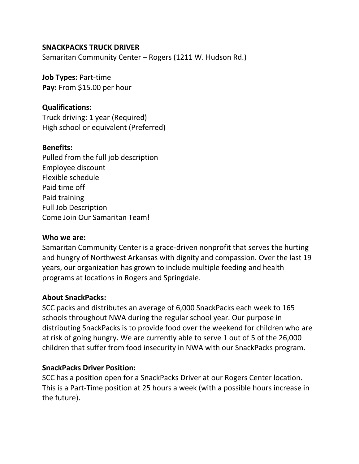### **SNACKPACKS TRUCK DRIVER**

Samaritan Community Center – Rogers (1211 W. Hudson Rd.)

**Job Types:** Part-time **Pay:** From \$15.00 per hour

## **Qualifications:**

Truck driving: 1 year (Required) High school or equivalent (Preferred)

### **Benefits:**

Pulled from the full job description Employee discount Flexible schedule Paid time off Paid training Full Job Description Come Join Our Samaritan Team!

## **Who we are:**

Samaritan Community Center is a grace-driven nonprofit that serves the hurting and hungry of Northwest Arkansas with dignity and compassion. Over the last 19 years, our organization has grown to include multiple feeding and health programs at locations in Rogers and Springdale.

## **About SnackPacks:**

SCC packs and distributes an average of 6,000 SnackPacks each week to 165 schools throughout NWA during the regular school year. Our purpose in distributing SnackPacks is to provide food over the weekend for children who are at risk of going hungry. We are currently able to serve 1 out of 5 of the 26,000 children that suffer from food insecurity in NWA with our SnackPacks program.

## **SnackPacks Driver Position:**

SCC has a position open for a SnackPacks Driver at our Rogers Center location. This is a Part-Time position at 25 hours a week (with a possible hours increase in the future).